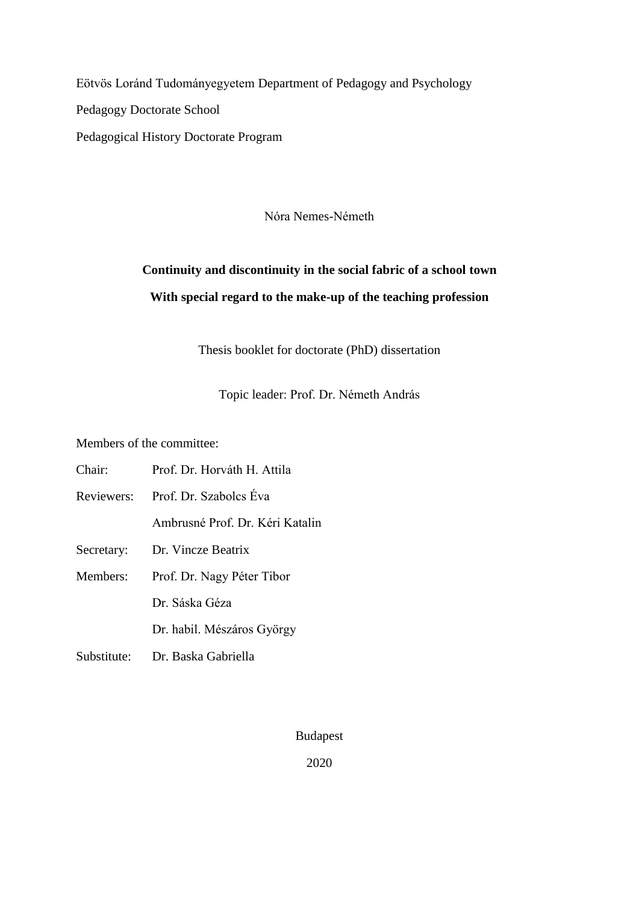Eötvös Loránd Tudományegyetem Department of Pedagogy and Psychology Pedagogy Doctorate School Pedagogical History Doctorate Program

Nóra Nemes-Németh

# **Continuity and discontinuity in the social fabric of a school town With special regard to the make-up of the teaching profession**

Thesis booklet for doctorate (PhD) dissertation

Topic leader: Prof. Dr. Németh András

Members of the committee:

| Chair:      | Prof. Dr. Horváth H. Attila     |
|-------------|---------------------------------|
| Reviewers:  | Prof. Dr. Szabolcs Éva          |
|             | Ambrusné Prof. Dr. Kéri Katalin |
| Secretary:  | Dr. Vincze Beatrix              |
| Members:    | Prof. Dr. Nagy Péter Tibor      |
|             | Dr. Sáska Géza                  |
|             | Dr. habil. Mészáros György      |
| Substitute: | Dr. Baska Gabriella             |
|             |                                 |

Budapest

2020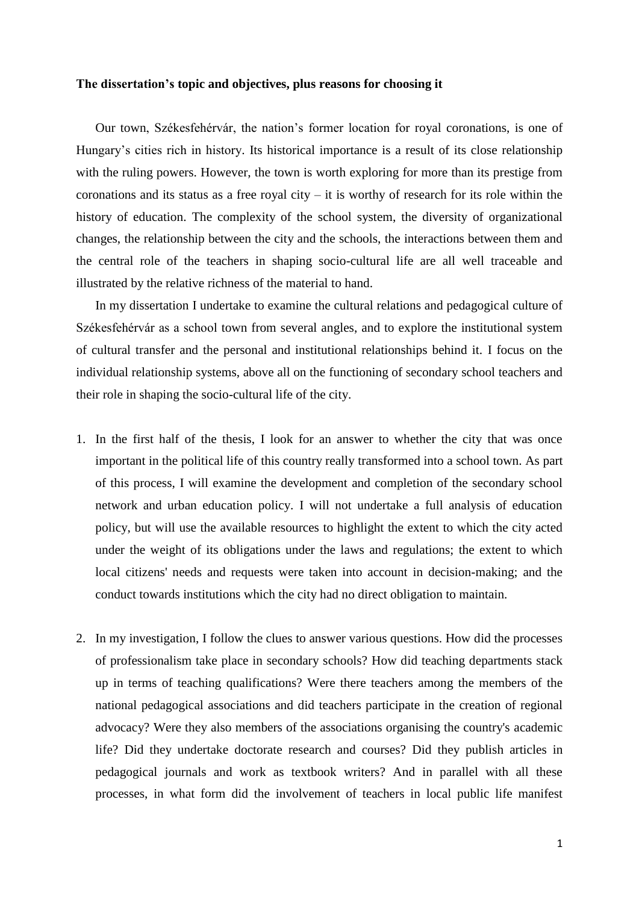#### **The dissertation's topic and objectives, plus reasons for choosing it**

Our town, Székesfehérvár, the nation's former location for royal coronations, is one of Hungary's cities rich in history. Its historical importance is a result of its close relationship with the ruling powers. However, the town is worth exploring for more than its prestige from coronations and its status as a free royal city – it is worthy of research for its role within the history of education. The complexity of the school system, the diversity of organizational changes, the relationship between the city and the schools, the interactions between them and the central role of the teachers in shaping socio-cultural life are all well traceable and illustrated by the relative richness of the material to hand.

In my dissertation I undertake to examine the cultural relations and pedagogical culture of Székesfehérvár as a school town from several angles, and to explore the institutional system of cultural transfer and the personal and institutional relationships behind it. I focus on the individual relationship systems, above all on the functioning of secondary school teachers and their role in shaping the socio-cultural life of the city.

- 1. In the first half of the thesis, I look for an answer to whether the city that was once important in the political life of this country really transformed into a school town. As part of this process, I will examine the development and completion of the secondary school network and urban education policy. I will not undertake a full analysis of education policy, but will use the available resources to highlight the extent to which the city acted under the weight of its obligations under the laws and regulations; the extent to which local citizens' needs and requests were taken into account in decision-making; and the conduct towards institutions which the city had no direct obligation to maintain.
- 2. In my investigation, I follow the clues to answer various questions. How did the processes of professionalism take place in secondary schools? How did teaching departments stack up in terms of teaching qualifications? Were there teachers among the members of the national pedagogical associations and did teachers participate in the creation of regional advocacy? Were they also members of the associations organising the country's academic life? Did they undertake doctorate research and courses? Did they publish articles in pedagogical journals and work as textbook writers? And in parallel with all these processes, in what form did the involvement of teachers in local public life manifest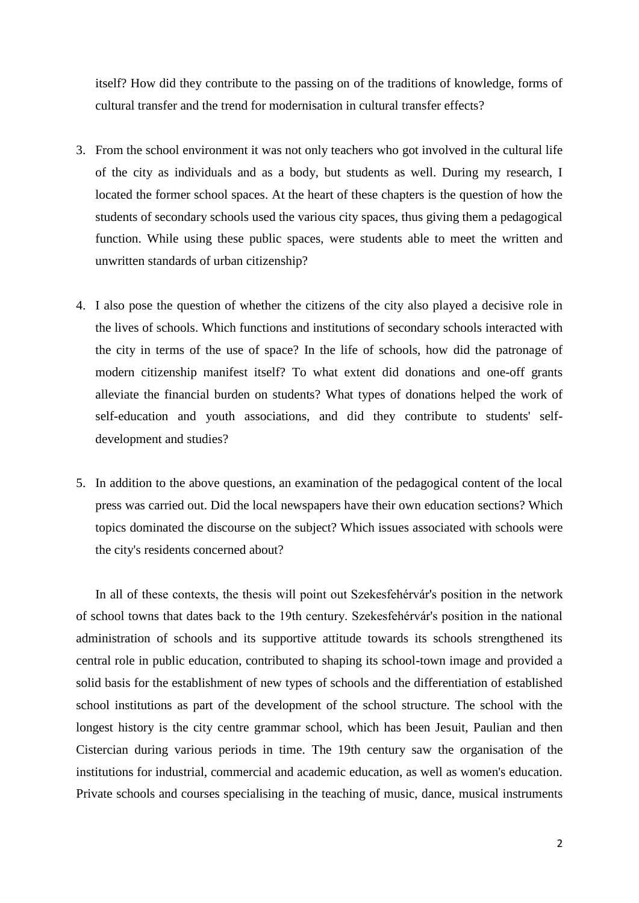itself? How did they contribute to the passing on of the traditions of knowledge, forms of cultural transfer and the trend for modernisation in cultural transfer effects?

- 3. From the school environment it was not only teachers who got involved in the cultural life of the city as individuals and as a body, but students as well. During my research, I located the former school spaces. At the heart of these chapters is the question of how the students of secondary schools used the various city spaces, thus giving them a pedagogical function. While using these public spaces, were students able to meet the written and unwritten standards of urban citizenship?
- 4. I also pose the question of whether the citizens of the city also played a decisive role in the lives of schools. Which functions and institutions of secondary schools interacted with the city in terms of the use of space? In the life of schools, how did the patronage of modern citizenship manifest itself? To what extent did donations and one-off grants alleviate the financial burden on students? What types of donations helped the work of self-education and youth associations, and did they contribute to students' selfdevelopment and studies?
- 5. In addition to the above questions, an examination of the pedagogical content of the local press was carried out. Did the local newspapers have their own education sections? Which topics dominated the discourse on the subject? Which issues associated with schools were the city's residents concerned about?

In all of these contexts, the thesis will point out Szekesfehérvár's position in the network of school towns that dates back to the 19th century. Szekesfehérvár's position in the national administration of schools and its supportive attitude towards its schools strengthened its central role in public education, contributed to shaping its school-town image and provided a solid basis for the establishment of new types of schools and the differentiation of established school institutions as part of the development of the school structure. The school with the longest history is the city centre grammar school, which has been Jesuit, Paulian and then Cistercian during various periods in time. The 19th century saw the organisation of the institutions for industrial, commercial and academic education, as well as women's education. Private schools and courses specialising in the teaching of music, dance, musical instruments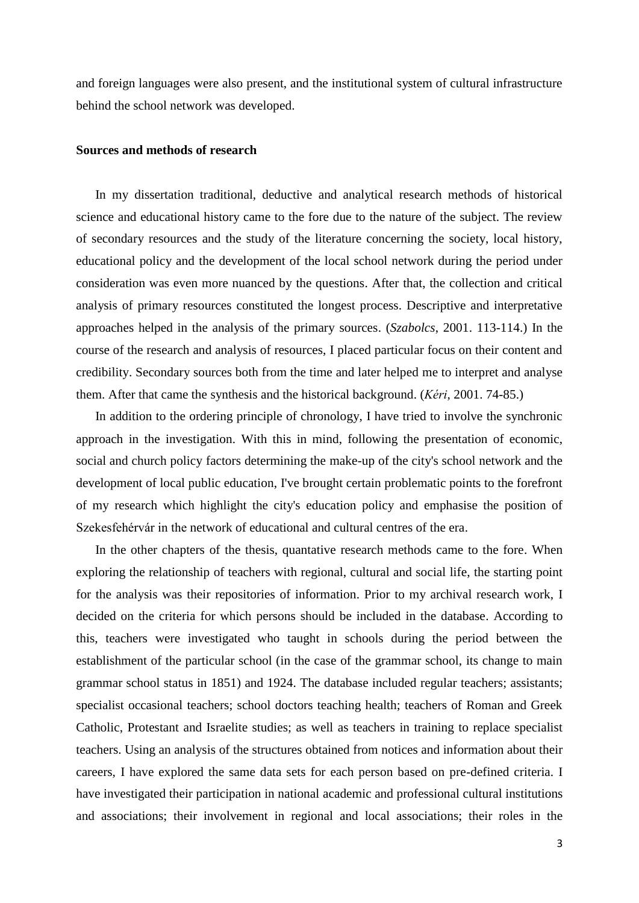and foreign languages were also present, and the institutional system of cultural infrastructure behind the school network was developed.

#### **Sources and methods of research**

In my dissertation traditional, deductive and analytical research methods of historical science and educational history came to the fore due to the nature of the subject. The review of secondary resources and the study of the literature concerning the society, local history, educational policy and the development of the local school network during the period under consideration was even more nuanced by the questions. After that, the collection and critical analysis of primary resources constituted the longest process. Descriptive and interpretative approaches helped in the analysis of the primary sources. (*Szabolcs*, 2001. 113-114.) In the course of the research and analysis of resources, I placed particular focus on their content and credibility. Secondary sources both from the time and later helped me to interpret and analyse them. After that came the synthesis and the historical background. (*Kéri*, 2001. 74-85.)

In addition to the ordering principle of chronology, I have tried to involve the synchronic approach in the investigation. With this in mind, following the presentation of economic, social and church policy factors determining the make-up of the city's school network and the development of local public education, I've brought certain problematic points to the forefront of my research which highlight the city's education policy and emphasise the position of Szekesfehérvár in the network of educational and cultural centres of the era.

In the other chapters of the thesis, quantative research methods came to the fore. When exploring the relationship of teachers with regional, cultural and social life, the starting point for the analysis was their repositories of information. Prior to my archival research work, I decided on the criteria for which persons should be included in the database. According to this, teachers were investigated who taught in schools during the period between the establishment of the particular school (in the case of the grammar school, its change to main grammar school status in 1851) and 1924. The database included regular teachers; assistants; specialist occasional teachers; school doctors teaching health; teachers of Roman and Greek Catholic, Protestant and Israelite studies; as well as teachers in training to replace specialist teachers. Using an analysis of the structures obtained from notices and information about their careers, I have explored the same data sets for each person based on pre-defined criteria. I have investigated their participation in national academic and professional cultural institutions and associations; their involvement in regional and local associations; their roles in the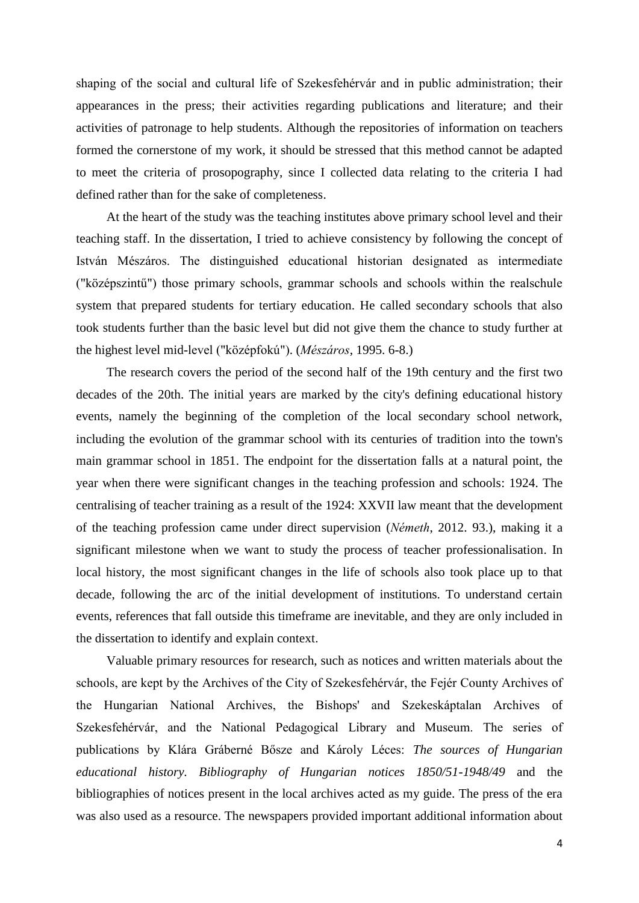shaping of the social and cultural life of Szekesfehérvár and in public administration; their appearances in the press; their activities regarding publications and literature; and their activities of patronage to help students. Although the repositories of information on teachers formed the cornerstone of my work, it should be stressed that this method cannot be adapted to meet the criteria of prosopography, since I collected data relating to the criteria I had defined rather than for the sake of completeness.

At the heart of the study was the teaching institutes above primary school level and their teaching staff. In the dissertation, I tried to achieve consistency by following the concept of István Mészáros. The distinguished educational historian designated as intermediate ("középszintű") those primary schools, grammar schools and schools within the realschule system that prepared students for tertiary education. He called secondary schools that also took students further than the basic level but did not give them the chance to study further at the highest level mid-level ("középfokú"). (*Mészáros*, 1995. 6-8.)

The research covers the period of the second half of the 19th century and the first two decades of the 20th. The initial years are marked by the city's defining educational history events, namely the beginning of the completion of the local secondary school network, including the evolution of the grammar school with its centuries of tradition into the town's main grammar school in 1851. The endpoint for the dissertation falls at a natural point, the year when there were significant changes in the teaching profession and schools: 1924. The centralising of teacher training as a result of the 1924: XXVII law meant that the development of the teaching profession came under direct supervision (*Németh*, 2012. 93.), making it a significant milestone when we want to study the process of teacher professionalisation. In local history, the most significant changes in the life of schools also took place up to that decade, following the arc of the initial development of institutions. To understand certain events, references that fall outside this timeframe are inevitable, and they are only included in the dissertation to identify and explain context.

Valuable primary resources for research, such as notices and written materials about the schools, are kept by the Archives of the City of Szekesfehérvár, the Fejér County Archives of the Hungarian National Archives, the Bishops' and Szekeskáptalan Archives of Szekesfehérvár, and the National Pedagogical Library and Museum. The series of publications by Klára Gráberné Bősze and Károly Léces: *The sources of Hungarian educational history. Bibliography of Hungarian notices 1850/51-1948/49* and the bibliographies of notices present in the local archives acted as my guide. The press of the era was also used as a resource. The newspapers provided important additional information about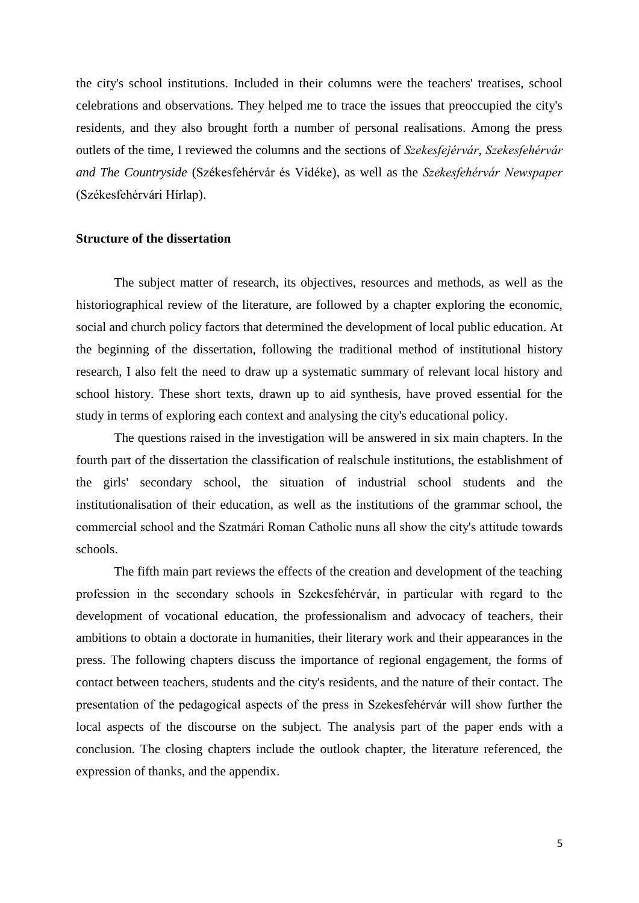the city's school institutions. Included in their columns were the teachers' treatises, school celebrations and observations. They helped me to trace the issues that preoccupied the city's residents, and they also brought forth a number of personal realisations. Among the press outlets of the time, I reviewed the columns and the sections of *Szekesfejérvár*, *Szekesfehérvár and The Countryside* (Székesfehérvár és Vidéke), as well as the *Szekesfehérvár Newspaper* (Székesfehérvári Hírlap).

#### **Structure of the dissertation**

The subject matter of research, its objectives, resources and methods, as well as the historiographical review of the literature, are followed by a chapter exploring the economic, social and church policy factors that determined the development of local public education. At the beginning of the dissertation, following the traditional method of institutional history research, I also felt the need to draw up a systematic summary of relevant local history and school history. These short texts, drawn up to aid synthesis, have proved essential for the study in terms of exploring each context and analysing the city's educational policy.

The questions raised in the investigation will be answered in six main chapters. In the fourth part of the dissertation the classification of realschule institutions, the establishment of the girls' secondary school, the situation of industrial school students and the institutionalisation of their education, as well as the institutions of the grammar school, the commercial school and the Szatmári Roman Catholic nuns all show the city's attitude towards schools.

The fifth main part reviews the effects of the creation and development of the teaching profession in the secondary schools in Szekesfehérvár, in particular with regard to the development of vocational education, the professionalism and advocacy of teachers, their ambitions to obtain a doctorate in humanities, their literary work and their appearances in the press. The following chapters discuss the importance of regional engagement, the forms of contact between teachers, students and the city's residents, and the nature of their contact. The presentation of the pedagogical aspects of the press in Szekesfehérvár will show further the local aspects of the discourse on the subject. The analysis part of the paper ends with a conclusion. The closing chapters include the outlook chapter, the literature referenced, the expression of thanks, and the appendix.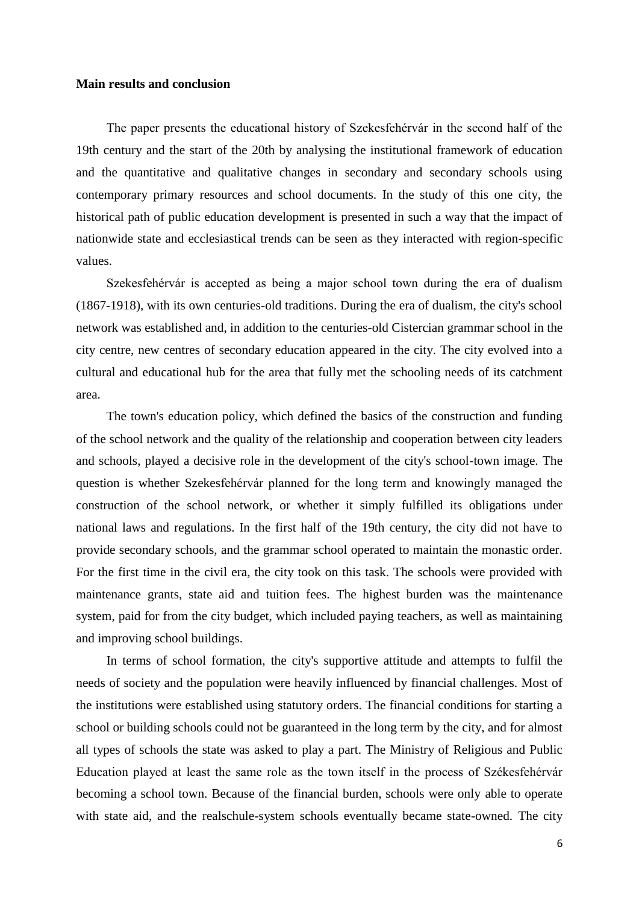#### **Main results and conclusion**

The paper presents the educational history of Szekesfehérvár in the second half of the 19th century and the start of the 20th by analysing the institutional framework of education and the quantitative and qualitative changes in secondary and secondary schools using contemporary primary resources and school documents. In the study of this one city, the historical path of public education development is presented in such a way that the impact of nationwide state and ecclesiastical trends can be seen as they interacted with region-specific values.

Szekesfehérvár is accepted as being a major school town during the era of dualism (1867-1918), with its own centuries-old traditions. During the era of dualism, the city's school network was established and, in addition to the centuries-old Cistercian grammar school in the city centre, new centres of secondary education appeared in the city. The city evolved into a cultural and educational hub for the area that fully met the schooling needs of its catchment area.

The town's education policy, which defined the basics of the construction and funding of the school network and the quality of the relationship and cooperation between city leaders and schools, played a decisive role in the development of the city's school-town image. The question is whether Szekesfehérvár planned for the long term and knowingly managed the construction of the school network, or whether it simply fulfilled its obligations under national laws and regulations. In the first half of the 19th century, the city did not have to provide secondary schools, and the grammar school operated to maintain the monastic order. For the first time in the civil era, the city took on this task. The schools were provided with maintenance grants, state aid and tuition fees. The highest burden was the maintenance system, paid for from the city budget, which included paying teachers, as well as maintaining and improving school buildings.

In terms of school formation, the city's supportive attitude and attempts to fulfil the needs of society and the population were heavily influenced by financial challenges. Most of the institutions were established using statutory orders. The financial conditions for starting a school or building schools could not be guaranteed in the long term by the city, and for almost all types of schools the state was asked to play a part. The Ministry of Religious and Public Education played at least the same role as the town itself in the process of Székesfehérvár becoming a school town. Because of the financial burden, schools were only able to operate with state aid, and the realschule-system schools eventually became state-owned. The city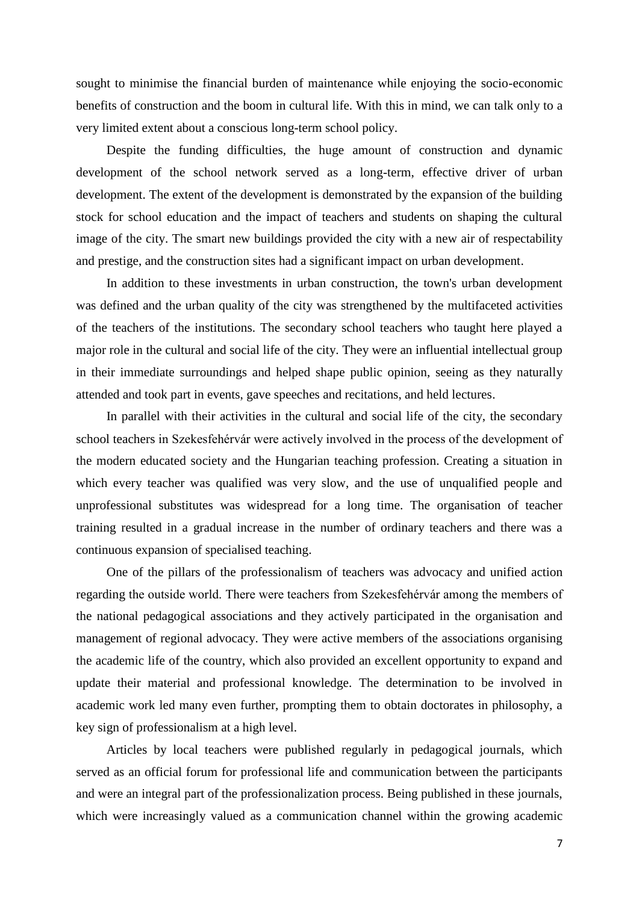sought to minimise the financial burden of maintenance while enjoying the socio-economic benefits of construction and the boom in cultural life. With this in mind, we can talk only to a very limited extent about a conscious long-term school policy.

Despite the funding difficulties, the huge amount of construction and dynamic development of the school network served as a long-term, effective driver of urban development. The extent of the development is demonstrated by the expansion of the building stock for school education and the impact of teachers and students on shaping the cultural image of the city. The smart new buildings provided the city with a new air of respectability and prestige, and the construction sites had a significant impact on urban development.

In addition to these investments in urban construction, the town's urban development was defined and the urban quality of the city was strengthened by the multifaceted activities of the teachers of the institutions. The secondary school teachers who taught here played a major role in the cultural and social life of the city. They were an influential intellectual group in their immediate surroundings and helped shape public opinion, seeing as they naturally attended and took part in events, gave speeches and recitations, and held lectures.

In parallel with their activities in the cultural and social life of the city, the secondary school teachers in Szekesfehérvár were actively involved in the process of the development of the modern educated society and the Hungarian teaching profession. Creating a situation in which every teacher was qualified was very slow, and the use of unqualified people and unprofessional substitutes was widespread for a long time. The organisation of teacher training resulted in a gradual increase in the number of ordinary teachers and there was a continuous expansion of specialised teaching.

One of the pillars of the professionalism of teachers was advocacy and unified action regarding the outside world. There were teachers from Szekesfehérvár among the members of the national pedagogical associations and they actively participated in the organisation and management of regional advocacy. They were active members of the associations organising the academic life of the country, which also provided an excellent opportunity to expand and update their material and professional knowledge. The determination to be involved in academic work led many even further, prompting them to obtain doctorates in philosophy, a key sign of professionalism at a high level.

Articles by local teachers were published regularly in pedagogical journals, which served as an official forum for professional life and communication between the participants and were an integral part of the professionalization process. Being published in these journals, which were increasingly valued as a communication channel within the growing academic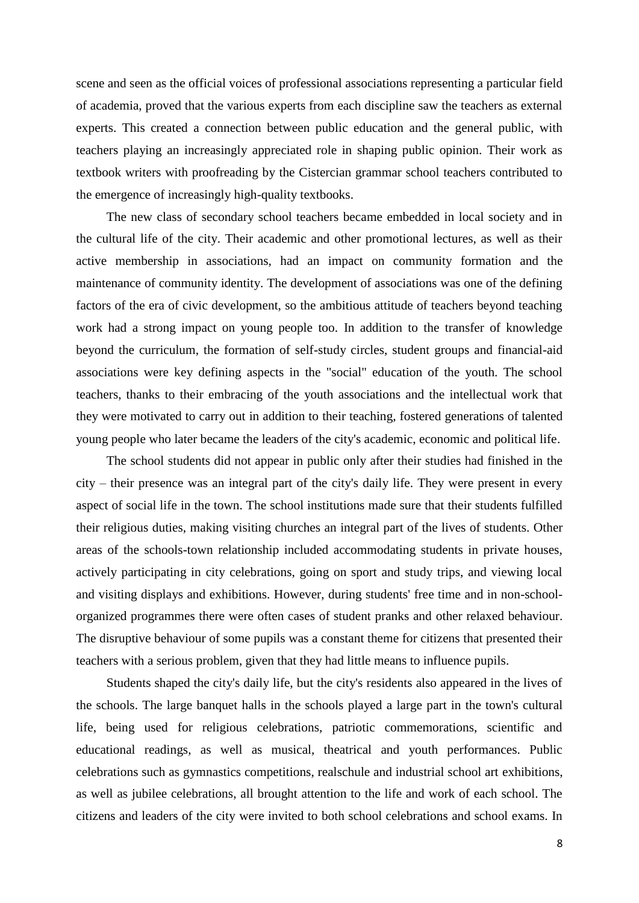scene and seen as the official voices of professional associations representing a particular field of academia, proved that the various experts from each discipline saw the teachers as external experts. This created a connection between public education and the general public, with teachers playing an increasingly appreciated role in shaping public opinion. Their work as textbook writers with proofreading by the Cistercian grammar school teachers contributed to the emergence of increasingly high-quality textbooks.

The new class of secondary school teachers became embedded in local society and in the cultural life of the city. Their academic and other promotional lectures, as well as their active membership in associations, had an impact on community formation and the maintenance of community identity. The development of associations was one of the defining factors of the era of civic development, so the ambitious attitude of teachers beyond teaching work had a strong impact on young people too. In addition to the transfer of knowledge beyond the curriculum, the formation of self-study circles, student groups and financial-aid associations were key defining aspects in the "social" education of the youth. The school teachers, thanks to their embracing of the youth associations and the intellectual work that they were motivated to carry out in addition to their teaching, fostered generations of talented young people who later became the leaders of the city's academic, economic and political life.

The school students did not appear in public only after their studies had finished in the city – their presence was an integral part of the city's daily life. They were present in every aspect of social life in the town. The school institutions made sure that their students fulfilled their religious duties, making visiting churches an integral part of the lives of students. Other areas of the schools-town relationship included accommodating students in private houses, actively participating in city celebrations, going on sport and study trips, and viewing local and visiting displays and exhibitions. However, during students' free time and in non-schoolorganized programmes there were often cases of student pranks and other relaxed behaviour. The disruptive behaviour of some pupils was a constant theme for citizens that presented their teachers with a serious problem, given that they had little means to influence pupils.

Students shaped the city's daily life, but the city's residents also appeared in the lives of the schools. The large banquet halls in the schools played a large part in the town's cultural life, being used for religious celebrations, patriotic commemorations, scientific and educational readings, as well as musical, theatrical and youth performances. Public celebrations such as gymnastics competitions, realschule and industrial school art exhibitions, as well as jubilee celebrations, all brought attention to the life and work of each school. The citizens and leaders of the city were invited to both school celebrations and school exams. In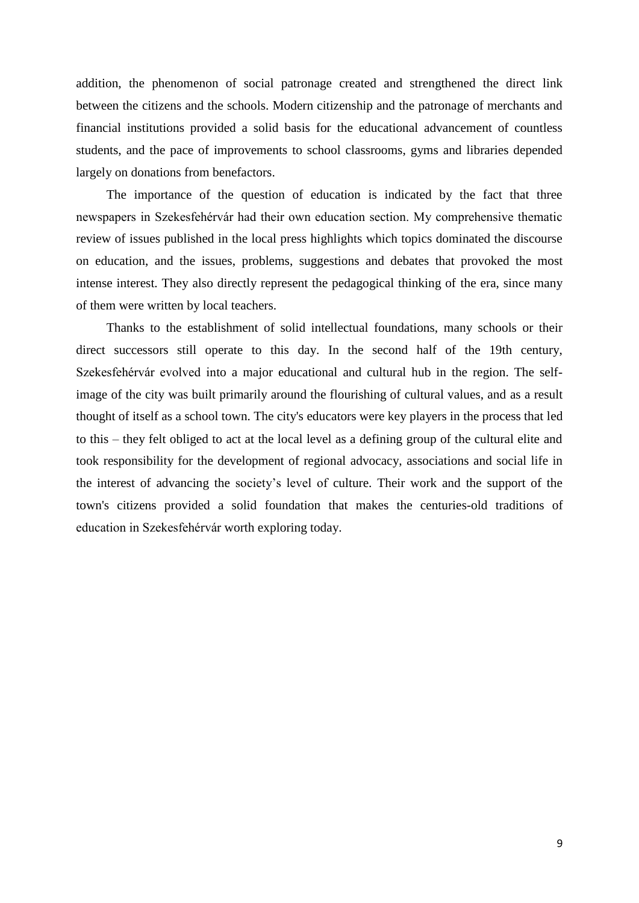addition, the phenomenon of social patronage created and strengthened the direct link between the citizens and the schools. Modern citizenship and the patronage of merchants and financial institutions provided a solid basis for the educational advancement of countless students, and the pace of improvements to school classrooms, gyms and libraries depended largely on donations from benefactors.

The importance of the question of education is indicated by the fact that three newspapers in Szekesfehérvár had their own education section. My comprehensive thematic review of issues published in the local press highlights which topics dominated the discourse on education, and the issues, problems, suggestions and debates that provoked the most intense interest. They also directly represent the pedagogical thinking of the era, since many of them were written by local teachers.

Thanks to the establishment of solid intellectual foundations, many schools or their direct successors still operate to this day. In the second half of the 19th century, Szekesfehérvár evolved into a major educational and cultural hub in the region. The selfimage of the city was built primarily around the flourishing of cultural values, and as a result thought of itself as a school town. The city's educators were key players in the process that led to this – they felt obliged to act at the local level as a defining group of the cultural elite and took responsibility for the development of regional advocacy, associations and social life in the interest of advancing the society's level of culture. Their work and the support of the town's citizens provided a solid foundation that makes the centuries-old traditions of education in Szekesfehérvár worth exploring today.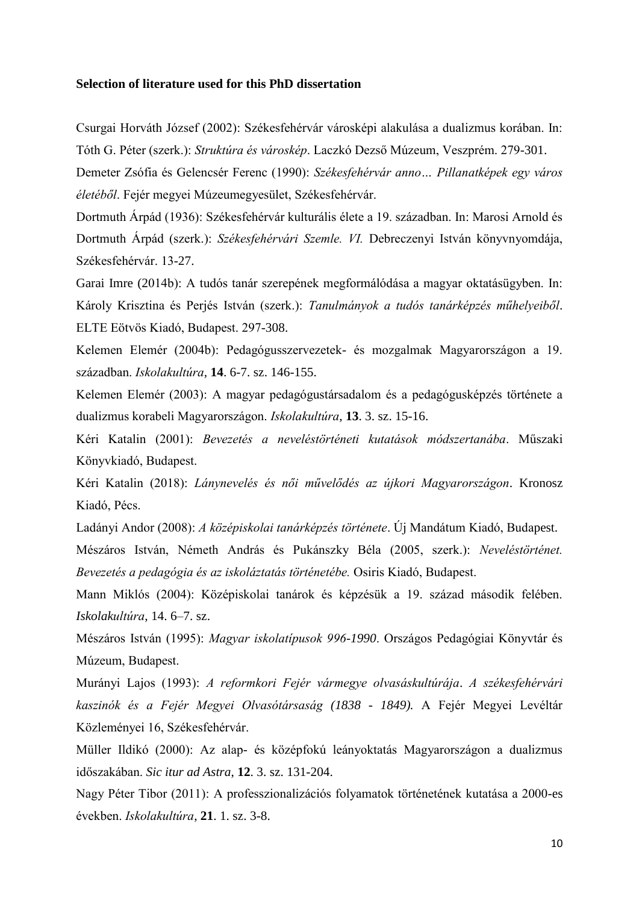#### **Selection of literature used for this PhD dissertation**

Csurgai Horváth József (2002): Székesfehérvár városképi alakulása a dualizmus korában. In: Tóth G. Péter (szerk.): *Struktúra és városkép*. Laczkó Dezső Múzeum, Veszprém. 279-301.

Demeter Zsófia és Gelencsér Ferenc (1990): *Székesfehérvár anno… Pillanatképek egy város életéből*. Fejér megyei Múzeumegyesület, Székesfehérvár.

Dortmuth Árpád (1936): Székesfehérvár kulturális élete a 19. században. In: Marosi Arnold és Dortmuth Árpád (szerk.): *Székesfehérvári Szemle. VI.* Debreczenyi István könyvnyomdája, Székesfehérvár. 13-27.

Garai Imre (2014b): A tudós tanár szerepének megformálódása a magyar oktatásügyben. In: Károly Krisztina és Perjés István (szerk.): *Tanulmányok a tudós tanárképzés műhelyeiből*. ELTE Eötvös Kiadó, Budapest. 297-308.

Kelemen Elemér (2004b): Pedagógusszervezetek- és mozgalmak Magyarországon a 19. században. *Iskolakultúra*, **14**. 6-7. sz. 146-155.

Kelemen Elemér (2003): A magyar pedagógustársadalom és a pedagógusképzés története a dualizmus korabeli Magyarországon. *Iskolakultúra*, **13**. 3. sz. 15-16.

Kéri Katalin (2001): *Bevezetés a neveléstörténeti kutatások módszertanába*. Műszaki Könyvkiadó, Budapest.

Kéri Katalin (2018): *Lánynevelés és női művelődés az újkori Magyarországon*. Kronosz Kiadó, Pécs.

Ladányi Andor (2008): *A középiskolai tanárképzés története*. Új Mandátum Kiadó, Budapest.

Mészáros István, Németh András és Pukánszky Béla (2005, szerk.): *Neveléstörténet. Bevezetés a pedagógia és az iskoláztatás történetébe.* Osiris Kiadó, Budapest.

Mann Miklós (2004): Középiskolai tanárok és képzésük a 19. század második felében. *Iskolakultúra*, 14. 6–7. sz.

Mészáros István (1995): *Magyar iskolatípusok 996-1990*. Országos Pedagógiai Könyvtár és Múzeum, Budapest.

Murányi Lajos (1993): *A reformkori Fejér vármegye olvasáskultúrája*. *A székesfehérvári kaszinók és a Fejér Megyei Olvasótársaság (1838 - 1849).* A Fejér Megyei Levéltár Közleményei 16, Székesfehérvár.

Müller Ildikó (2000): Az alap- és középfokú leányoktatás Magyarországon a dualizmus időszakában. *Sic itur ad Astra*, **12**. 3. sz. 131-204.

Nagy Péter Tibor (2011): A professzionalizációs folyamatok történetének kutatása a 2000-es években. *Iskolakultúra*, **21**. 1. sz. 3-8.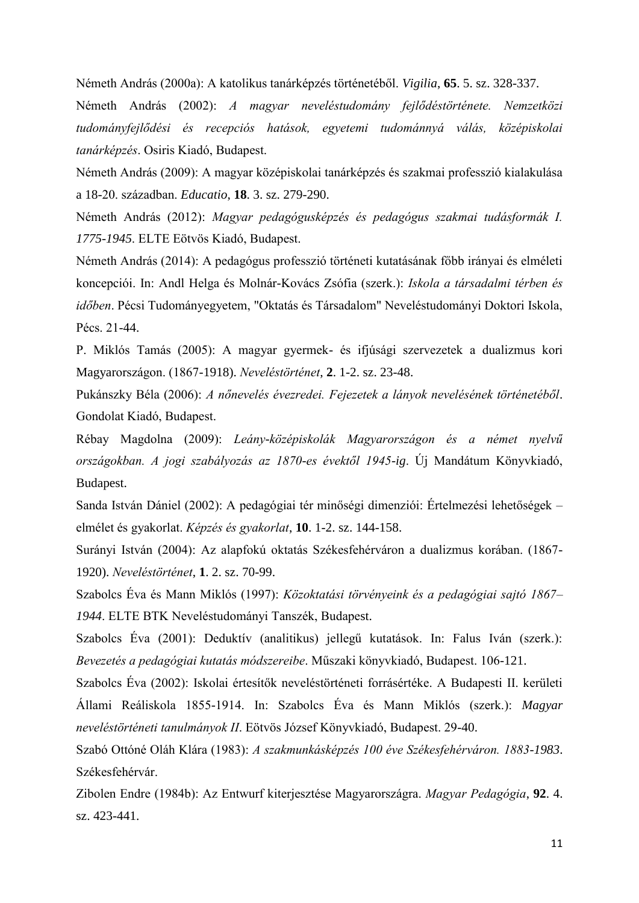Németh András (2000a): A katolikus tanárképzés történetéből. *Vigilia*, **65**. 5. sz. 328-337.

Németh András (2002): *A magyar neveléstudomány fejlődéstörténete. Nemzetközi tudományfejlődési és recepciós hatások, egyetemi tudománnyá válás, középiskolai tanárképzés*. Osiris Kiadó, Budapest.

Németh András (2009): A magyar középiskolai tanárképzés és szakmai professzió kialakulása a 18-20. században. *Educatio*, **18**. 3. sz. 279-290.

Németh András (2012): *Magyar pedagógusképzés és pedagógus szakmai tudásformák I. 1775-1945*. ELTE Eötvös Kiadó, Budapest.

Németh András (2014): A pedagógus professzió történeti kutatásának főbb irányai és elméleti koncepciói. In: Andl Helga és Molnár-Kovács Zsófia (szerk.): *Iskola a társadalmi térben és időben*. Pécsi Tudományegyetem, "Oktatás és Társadalom" Neveléstudományi Doktori Iskola, Pécs. 21-44.

P. Miklós Tamás (2005): A magyar gyermek- és ifjúsági szervezetek a dualizmus kori Magyarországon. (1867-1918). *Neveléstörténet*, **2**. 1-2. sz. 23-48.

Pukánszky Béla (2006): *A nőnevelés évezredei. Fejezetek a lányok nevelésének történetéből*. Gondolat Kiadó, Budapest.

Rébay Magdolna (2009): *Leány-középiskolák Magyarországon és a német nyelvű országokban. A jogi szabályozás az 1870-es évektől 1945-ig*. Új Mandátum Könyvkiadó, Budapest.

Sanda István Dániel (2002): A pedagógiai tér minőségi dimenziói: Értelmezési lehetőségek – elmélet és gyakorlat. *Képzés és gyakorlat*, **10**. 1-2. sz. 144-158.

Surányi István (2004): Az alapfokú oktatás Székesfehérváron a dualizmus korában. (1867- 1920). *Neveléstörténet*, **1**. 2. sz. 70-99.

Szabolcs Éva és Mann Miklós (1997): *Közoktatási törvényeink és a pedagógiai sajtó 1867– 1944*. ELTE BTK Neveléstudományi Tanszék, Budapest.

Szabolcs Éva (2001): Deduktív (analitikus) jellegű kutatások. In: Falus Iván (szerk.): *Bevezetés a pedagógiai kutatás módszereibe*. Műszaki könyvkiadó, Budapest. 106-121.

Szabolcs Éva (2002): Iskolai értesítők neveléstörténeti forrásértéke. A Budapesti II. kerületi Állami Reáliskola 1855-1914. In: Szabolcs Éva és Mann Miklós (szerk.): *Magyar neveléstörténeti tanulmányok II*. Eötvös József Könyvkiadó, Budapest. 29-40.

Szabó Ottóné Oláh Klára (1983): *A szakmunkásképzés 100 éve Székesfehérváron. 1883-1983*. Székesfehérvár.

Zibolen Endre (1984b): Az Entwurf kiterjesztése Magyarországra. *Magyar Pedagógia*, **92**. 4. sz. 423-441.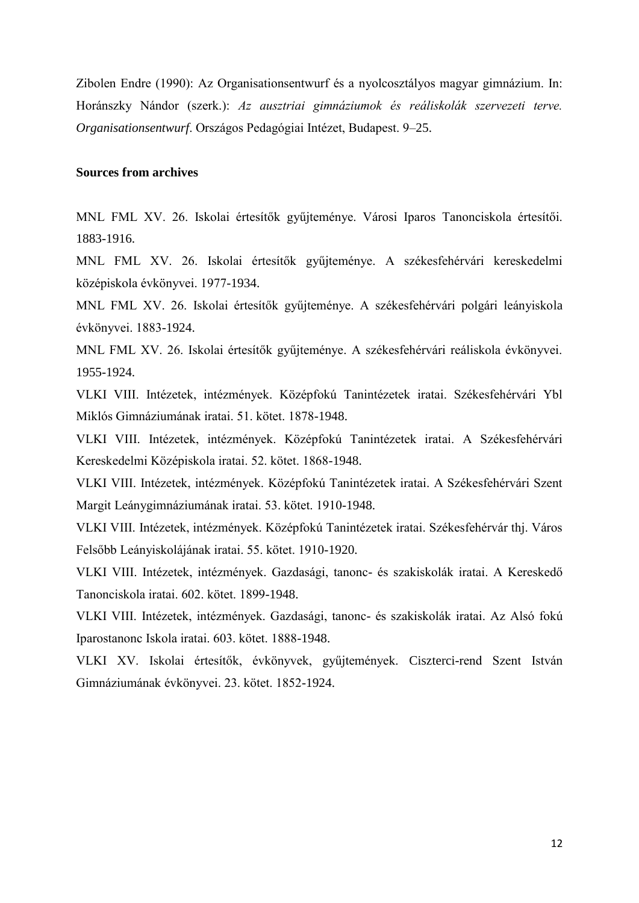Zibolen Endre (1990): Az Organisationsentwurf és a nyolcosztályos magyar gimnázium. In: Horánszky Nándor (szerk.): *Az ausztriai gimnáziumok és reáliskolák szervezeti terve. Organisationsentwurf*. Országos Pedagógiai Intézet, Budapest. 9–25.

## **Sources from archives**

MNL FML XV. 26. Iskolai értesítők gyűjteménye. Városi Iparos Tanonciskola értesítői. 1883-1916.

MNL FML XV. 26. Iskolai értesítők gyűjteménye. A székesfehérvári kereskedelmi középiskola évkönyvei. 1977-1934.

MNL FML XV. 26. Iskolai értesítők gyűjteménye. A székesfehérvári polgári leányiskola évkönyvei. 1883-1924.

MNL FML XV. 26. Iskolai értesítők gyűjteménye. A székesfehérvári reáliskola évkönyvei. 1955-1924.

VLKI VIII. Intézetek, intézmények. Középfokú Tanintézetek iratai. Székesfehérvári Ybl Miklós Gimnáziumának iratai. 51. kötet. 1878-1948.

VLKI VIII. Intézetek, intézmények. Középfokú Tanintézetek iratai. A Székesfehérvári Kereskedelmi Középiskola iratai. 52. kötet. 1868-1948.

VLKI VIII. Intézetek, intézmények. Középfokú Tanintézetek iratai. A Székesfehérvári Szent Margit Leánygimnáziumának iratai. 53. kötet. 1910-1948.

VLKI VIII. Intézetek, intézmények. Középfokú Tanintézetek iratai. Székesfehérvár thj. Város Felsőbb Leányiskolájának iratai. 55. kötet. 1910-1920.

VLKI VIII. Intézetek, intézmények. Gazdasági, tanonc- és szakiskolák iratai. A Kereskedő Tanonciskola iratai. 602. kötet. 1899-1948.

VLKI VIII. Intézetek, intézmények. Gazdasági, tanonc- és szakiskolák iratai. Az Alsó fokú Iparostanonc Iskola iratai. 603. kötet. 1888-1948.

VLKI XV. Iskolai értesítők, évkönyvek, gyűjtemények. Ciszterci-rend Szent István Gimnáziumának évkönyvei. 23. kötet. 1852-1924.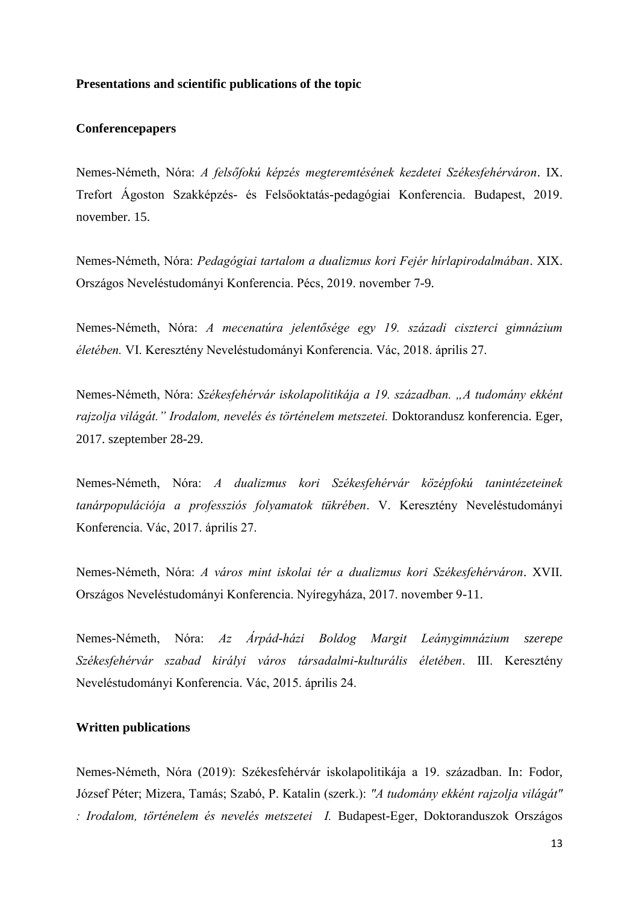#### **Presentations and scientific publications of the topic**

### **Conferencepapers**

Nemes-Németh, Nóra: *A felsőfokú képzés megteremtésének kezdetei Székesfehérváron*. IX. Trefort Ágoston Szakképzés- és Felsőoktatás-pedagógiai Konferencia. Budapest, 2019. november. 15.

Nemes-Németh, Nóra: *Pedagógiai tartalom a dualizmus kori Fejér hírlapirodalmában*. XIX. Országos Neveléstudományi Konferencia. Pécs, 2019. november 7-9.

Nemes-Németh, Nóra: *A mecenatúra jelentősége egy 19. századi ciszterci gimnázium életében.* VI. Keresztény Neveléstudományi Konferencia. Vác, 2018. április 27.

Nemes-Németh, Nóra: *Székesfehérvár iskolapolitikája a 19. században. "A tudomány ekként rajzolja világát." Irodalom, nevelés és történelem metszetei.* Doktorandusz konferencia. Eger, 2017. szeptember 28-29.

Nemes-Németh, Nóra: *A dualizmus kori Székesfehérvár középfokú tanintézeteinek tanárpopulációja a professziós folyamatok tükrében*. V. Keresztény Neveléstudományi Konferencia. Vác, 2017. április 27.

Nemes-Németh, Nóra: *A város mint iskolai tér a dualizmus kori Székesfehérváron*. XVII. Országos Neveléstudományi Konferencia. Nyíregyháza, 2017. november 9-11.

Nemes-Németh, Nóra: *Az Árpád-házi Boldog Margit Leánygimnázium szerepe Székesfehérvár szabad királyi város társadalmi-kulturális életében*. III. Keresztény Neveléstudományi Konferencia. Vác, 2015. április 24.

## **Written publications**

Nemes-Németh, Nóra (2019): Székesfehérvár iskolapolitikája a 19. században. In: Fodor, József Péter; Mizera, Tamás; Szabó, P. Katalin (szerk.): *"A tudomány ekként rajzolja világát" : Irodalom, történelem és nevelés metszetei I.* Budapest-Eger, Doktoranduszok Országos